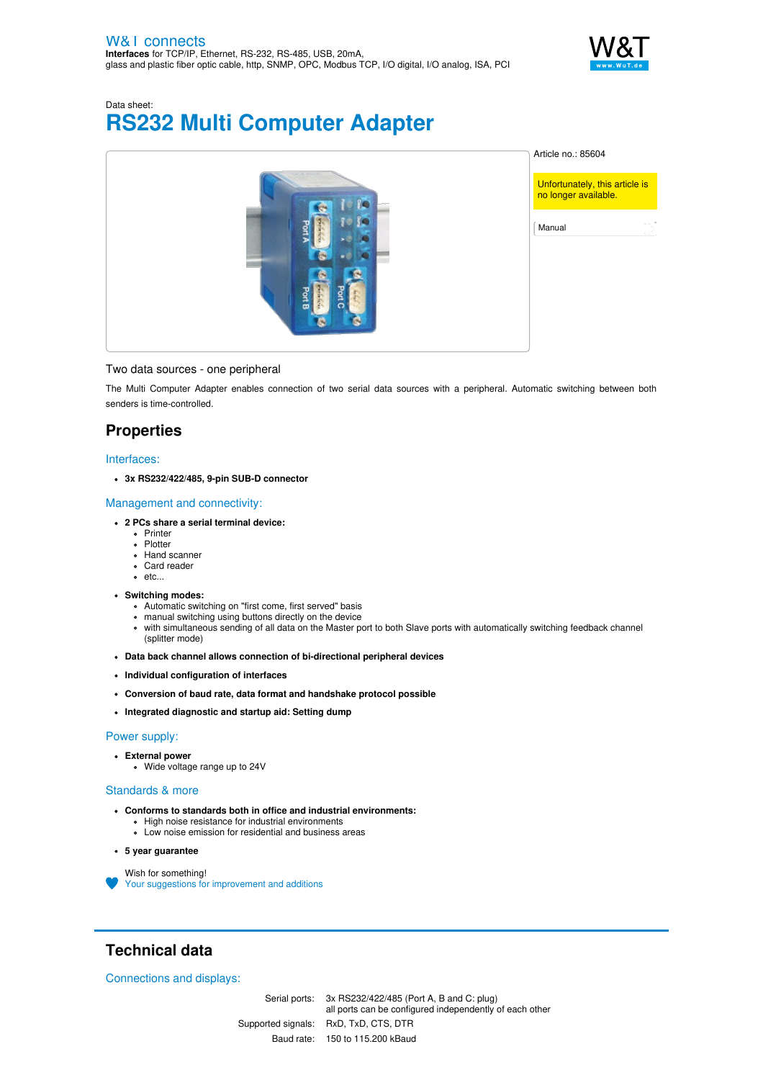

# Data sheet: **RS232 Multi Computer Adapter**



#### Two data sources - one peripheral

The Multi Computer Adapter enables connection of two serial data sources with a peripheral. Automatic switching between both senders is time-controlled.

## **Properties**

#### Interfaces:

**3x RS232/422/485, 9-pin SUB-D connector**

#### Management and connectivity:

- **2 PCs share a serial terminal device:**
	- **•** Printer
	- Plotter
	- Hand scanner
	- Card reader • etc...
- **Switching modes:**
	- Automatic switching on "first come, first served" basis
	- manual switching using buttons directly on the device
	- with simultaneous sending of all data on the Master port to both Slave ports with automatically switching feedback channel  $\bullet$ (splitter mode)
- **Data back channel allows connection of bi-directional peripheral devices**
- **Individual configuration of interfaces**
- **Conversion of baud rate, data format and handshake protocol possible**
- **Integrated diagnostic and startup aid: Setting dump**

#### Power supply:

- **External power**
	- Wide voltage range up to 24V

#### Standards & more

- **Conforms to standards both in office and industrial environments:** • High noise resistance for industrial environments
	- Low noise emission for residential and business areas

#### **5 year guarantee**

Wish for something! Your suggestions for [improvement](https://www.wut.de/e-wwwww-ws-orus-000.php?ArticleNr=85604) and additions

## **Technical data**

Connections and displays:

Serial ports: 3x RS232/422/485 (Port A, B and C: plug) all ports can be configured independently of each other Supported signals: RxD, TxD, CTS, DTR Baud rate: 150 to 115.200 kBaud